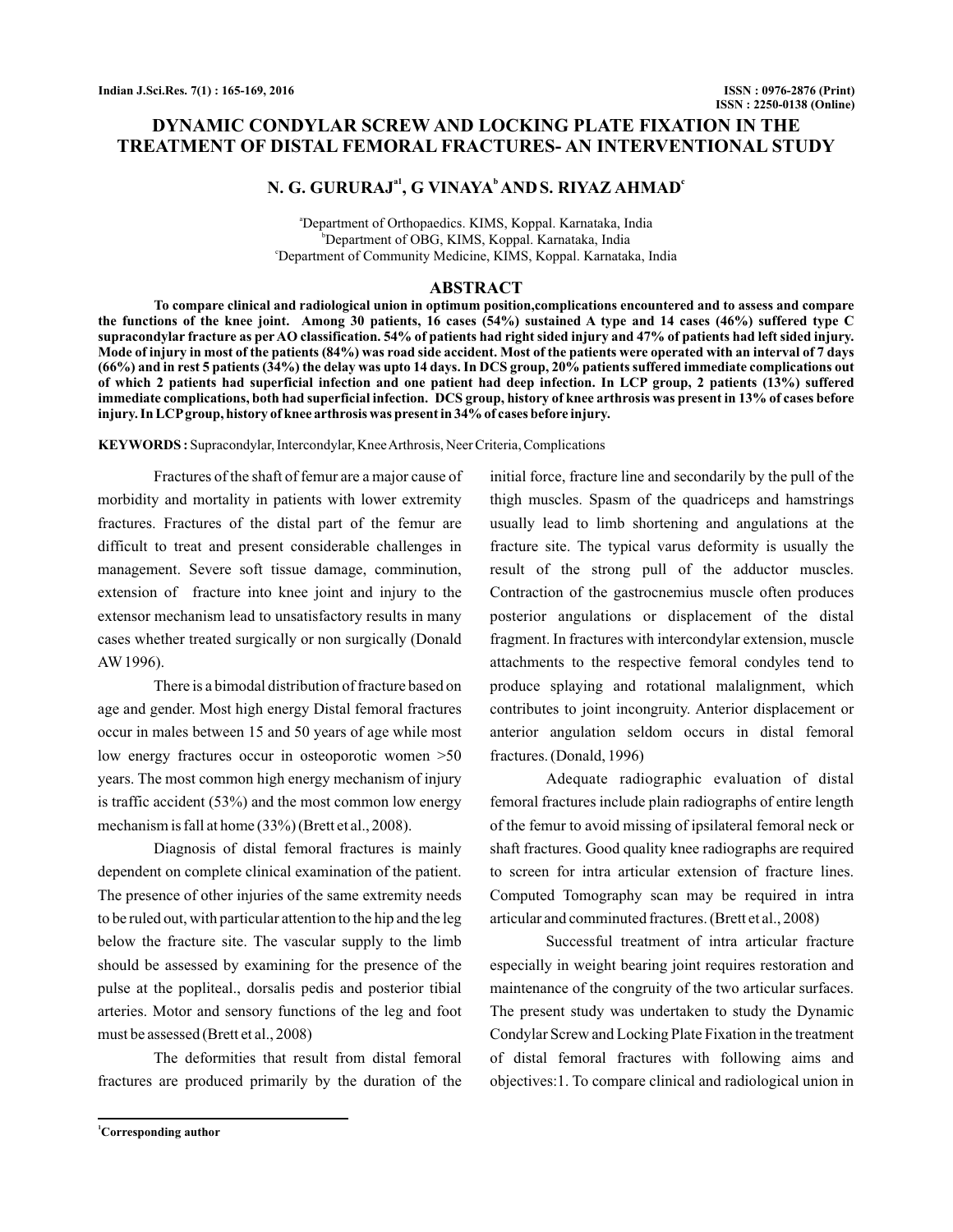# **DYNAMIC CONDYLAR SCREW AND LOCKING PLATE FIXATION IN THE TREATMENT OF DISTAL FEMORAL FRACTURES- AN INTERVENTIONAL STUDY**

# N. G. GURURAJ<sup>a1</sup>, G VINAYA<sup>b</sup> AND S. RIYAZ AHMAD<sup>c</sup>

a Department of Orthopaedics. KIMS, Koppal. Karnataka, India b Department of OBG, KIMS, Koppal. Karnataka, India c Department of Community Medicine, KIMS, Koppal. Karnataka, India

## **ABSTRACT**

**To compare clinical and radiological union in optimum position,complications encountered and to assess and compare the functions of the knee joint. Among 30 patients, 16 cases (54%) sustained A type and 14 cases (46%) suffered type C supracondylar fracture as per AO classification. 54% of patients had right sided injury and 47% of patients had left sided injury. Mode of injury in most of the patients (84%) was road side accident. Most of the patients were operated with an interval of 7 days (66%) and in rest 5 patients (34%) the delay was upto 14 days. In DCS group, 20% patients suffered immediate complications out of which 2 patients had superficial infection and one patient had deep infection. In LCP group, 2 patients (13%) suffered immediate complications, both had superficial infection. DCS group, history of knee arthrosis was present in 13% of cases before injury. In LCPgroup, history of knee arthrosis was present in 34% of cases before injury.**

**KEYWORDS**: Supracondylar, Intercondylar, Knee Arthrosis, Neer Criteria, Complications

Fractures of the shaft of femur are a major cause of morbidity and mortality in patients with lower extremity fractures. Fractures of the distal part of the femur are difficult to treat and present considerable challenges in management. Severe soft tissue damage, comminution, extension of fracture into knee joint and injury to the extensor mechanism lead to unsatisfactory results in many cases whether treated surgically or non surgically (Donald AW 1996).

There is a bimodal distribution of fracture based on age and gender. Most high energy Distal femoral fractures occur in males between 15 and 50 years of age while most low energy fractures occur in osteoporotic women >50 years. The most common high energy mechanism of injury is traffic accident (53%) and the most common low energy mechanism is fall at home (33%) (Brett et al., 2008).

Diagnosis of distal femoral fractures is mainly dependent on complete clinical examination of the patient. The presence of other injuries of the same extremity needs to be ruled out, with particular attention to the hip and the leg below the fracture site. The vascular supply to the limb should be assessed by examining for the presence of the pulse at the popliteal., dorsalis pedis and posterior tibial arteries. Motor and sensory functions of the leg and foot must be assessed (Brett et al., 2008)

The deformities that result from distal femoral fractures are produced primarily by the duration of the

initial force, fracture line and secondarily by the pull of the thigh muscles. Spasm of the quadriceps and hamstrings usually lead to limb shortening and angulations at the fracture site. The typical varus deformity is usually the result of the strong pull of the adductor muscles. Contraction of the gastrocnemius muscle often produces posterior angulations or displacement of the distal fragment. In fractures with intercondylar extension, muscle attachments to the respective femoral condyles tend to produce splaying and rotational malalignment, which contributes to joint incongruity. Anterior displacement or anterior angulation seldom occurs in distal femoral fractures. (Donald, 1996)

Adequate radiographic evaluation of distal femoral fractures include plain radiographs of entire length of the femur to avoid missing of ipsilateral femoral neck or shaft fractures. Good quality knee radiographs are required to screen for intra articular extension of fracture lines. Computed Tomography scan may be required in intra articular and comminuted fractures. (Brett et al., 2008)

Successful treatment of intra articular fracture especially in weight bearing joint requires restoration and maintenance of the congruity of the two articular surfaces. The present study was undertaken to study the Dynamic Condylar Screw and Locking Plate Fixation in the treatment of distal femoral fractures with following aims and objectives:1. To compare clinical and radiological union in

**<sup>1</sup>Corresponding author**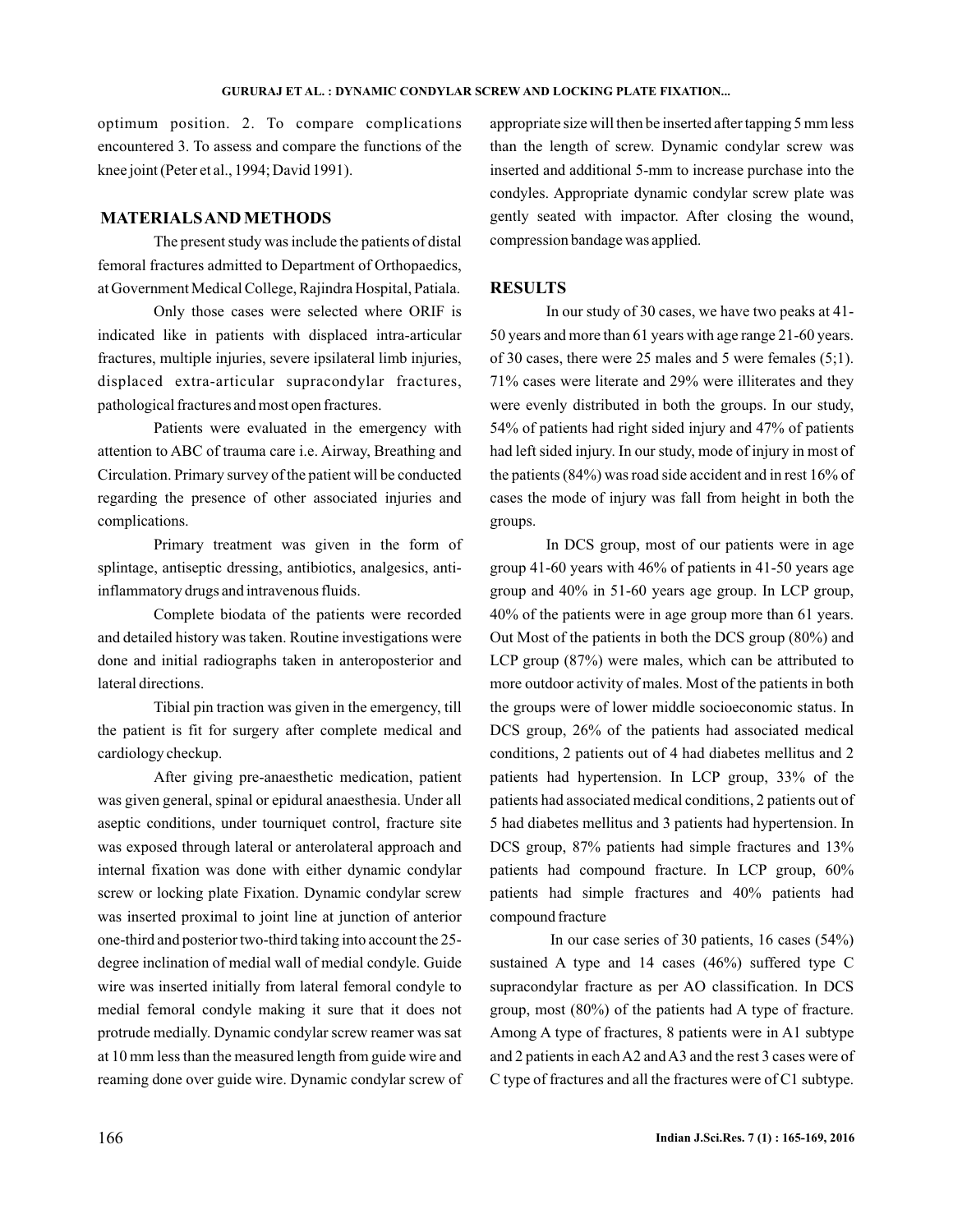optimum position. 2. To compare complications encountered 3. To assess and compare the functions of the knee joint (Peter et al., 1994; David 1991).

# **MATERIALSAND METHODS**

The present study was include the patients of distal femoral fractures admitted to Department of Orthopaedics, at Government Medical College, Rajindra Hospital, Patiala.

Only those cases were selected where ORIF is indicated like in patients with displaced intra-articular fractures, multiple injuries, severe ipsilateral limb injuries, displaced extra-articular supracondylar fractures, pathological fractures and most open fractures.

Patients were evaluated in the emergency with attention to ABC of trauma care i.e. Airway, Breathing and Circulation. Primary survey of the patient will be conducted regarding the presence of other associated injuries and complications.

Primary treatment was given in the form of splintage, antiseptic dressing, antibiotics, analgesics, antiinflammatory drugs and intravenous fluids.

Complete biodata of the patients were recorded and detailed history was taken. Routine investigations were done and initial radiographs taken in anteroposterior and lateral directions.

Tibial pin traction was given in the emergency, till the patient is fit for surgery after complete medical and cardiology checkup.

After giving pre-anaesthetic medication, patient was given general, spinal or epidural anaesthesia. Under all aseptic conditions, under tourniquet control, fracture site was exposed through lateral or anterolateral approach and internal fixation was done with either dynamic condylar screw or locking plate Fixation. Dynamic condylar screw was inserted proximal to joint line at junction of anterior one-third and posterior two-third taking into account the 25 degree inclination of medial wall of medial condyle. Guide wire was inserted initially from lateral femoral condyle to medial femoral condyle making it sure that it does not protrude medially. Dynamic condylar screw reamer was sat at 10 mm less than the measured length from guide wire and reaming done over guide wire. Dynamic condylar screw of appropriate size will then be inserted after tapping 5 mm less than the length of screw. Dynamic condylar screw was inserted and additional 5-mm to increase purchase into the condyles. Appropriate dynamic condylar screw plate was gently seated with impactor. After closing the wound, compression bandage was applied.

## **RESULTS**

In our study of 30 cases, we have two peaks at 41- 50 years and more than 61 years with age range 21-60 years. of 30 cases, there were 25 males and 5 were females (5;1). 71% cases were literate and 29% were illiterates and they were evenly distributed in both the groups. In our study, 54% of patients had right sided injury and 47% of patients had left sided injury. In our study, mode of injury in most of the patients (84%) was road side accident and in rest 16% of cases the mode of injury was fall from height in both the groups.

In DCS group, most of our patients were in age group 41-60 years with 46% of patients in 41-50 years age group and 40% in 51-60 years age group. In LCP group, 40% of the patients were in age group more than 61 years. Out Most of the patients in both the DCS group (80%) and LCP group (87%) were males, which can be attributed to more outdoor activity of males. Most of the patients in both the groups were of lower middle socioeconomic status. In DCS group, 26% of the patients had associated medical conditions, 2 patients out of 4 had diabetes mellitus and 2 patients had hypertension. In LCP group, 33% of the patients had associated medical conditions, 2 patients out of 5 had diabetes mellitus and 3 patients had hypertension. In DCS group, 87% patients had simple fractures and 13% patients had compound fracture. In LCP group, 60% patients had simple fractures and 40% patients had compound fracture

In our case series of 30 patients, 16 cases (54%) sustained A type and 14 cases (46%) suffered type C supracondylar fracture as per AO classification. In DCS group, most (80%) of the patients had A type of fracture. Among A type of fractures, 8 patients were in A1 subtype and 2 patients in each A2 and A3 and the rest 3 cases were of C type of fractures and all the fractures were of C1 subtype.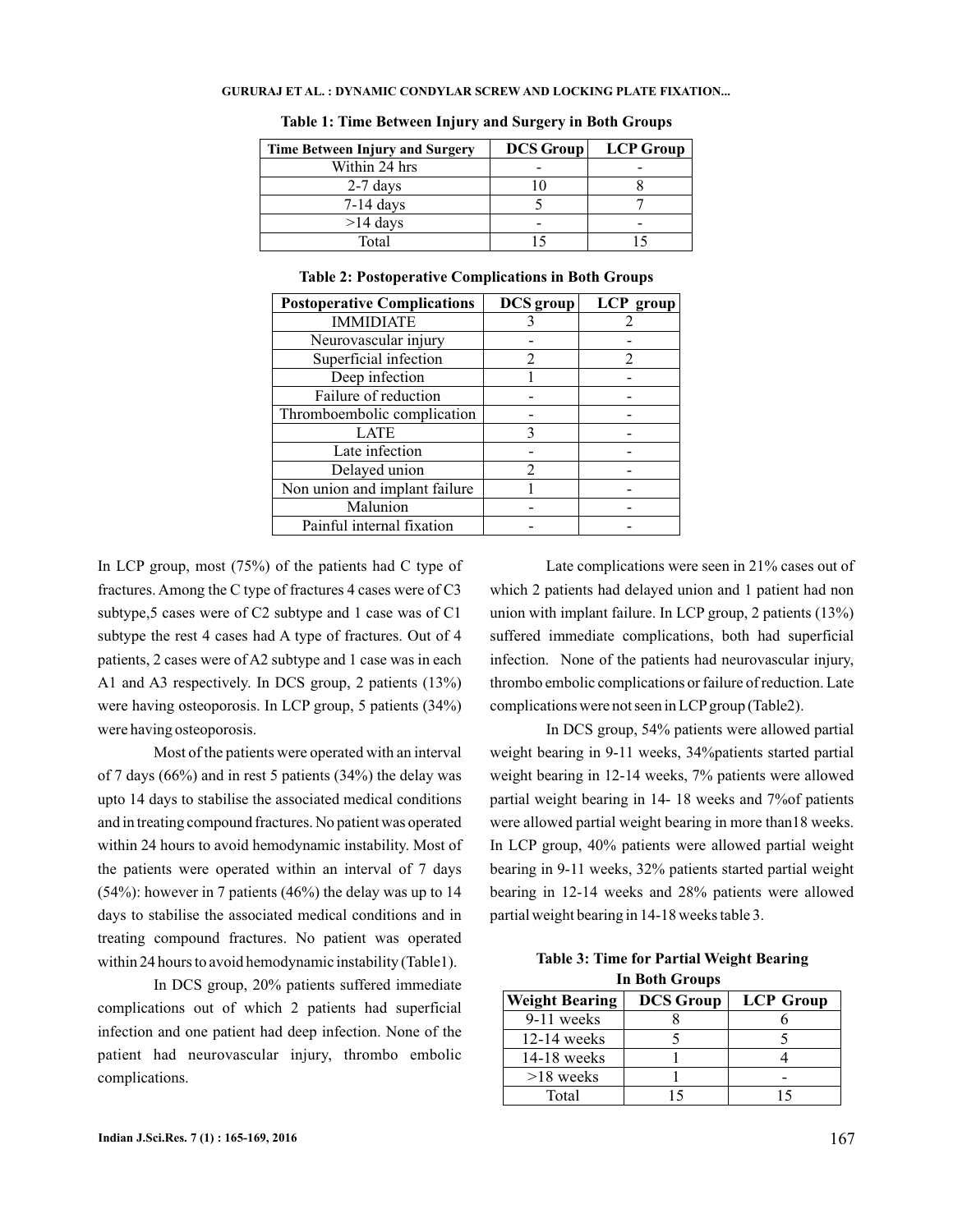| <b>Time Between Injury and Surgery</b> | <b>DCS Group</b> | <b>LCP</b> Group |
|----------------------------------------|------------------|------------------|
| Within 24 hrs                          |                  |                  |
| $2-7$ days                             |                  |                  |
| $7-14$ days                            |                  |                  |
| $>14$ days                             |                  |                  |
| Total                                  |                  |                  |

**Table 1: Time Between Injury and Surgery in Both Groups**

| <b>Postoperative Complications</b> | <b>DCS</b> group | LCP group |
|------------------------------------|------------------|-----------|
| <b>IMMIDIATE</b>                   |                  |           |
| Neurovascular injury               |                  |           |
| Superficial infection              | 2                |           |
| Deep infection                     |                  |           |
| Failure of reduction               |                  |           |
| Thromboembolic complication        |                  |           |
| <b>LATE</b>                        |                  |           |
| Late infection                     |                  |           |
| Delayed union                      | 2                |           |
| Non union and implant failure      |                  |           |
| Malunion                           |                  |           |
| Painful internal fixation          |                  |           |

**Table 2: Postoperative Complications in Both Groups**

In LCP group, most  $(75%)$  of the patients had C type of fractures. Among the C type of fractures 4 cases were of C3 subtype,5 cases were of C2 subtype and 1 case was of C1 subtype the rest 4 cases had A type of fractures. Out of 4 patients, 2 cases were of A2 subtype and 1 case was in each A1 and A3 respectively. In DCS group, 2 patients (13%) were having osteoporosis. In LCP group, 5 patients (34%) were having osteoporosis.

Most of the patients were operated with an interval of 7 days (66%) and in rest 5 patients (34%) the delay was upto 14 days to stabilise the associated medical conditions and in treating compound fractures. No patient was operated within 24 hours to avoid hemodynamic instability. Most of the patients were operated within an interval of 7 days (54%): however in 7 patients (46%) the delay was up to 14 days to stabilise the associated medical conditions and in treating compound fractures. No patient was operated within 24 hours to avoid hemodynamic instability (Table1).

In DCS group, 20% patients suffered immediate complications out of which 2 patients had superficial infection and one patient had deep infection. None of the patient had neurovascular injury, thrombo embolic complications.

Late complications were seen in 21% cases out of which 2 patients had delayed union and 1 patient had non union with implant failure. In LCP group, 2 patients (13%) suffered immediate complications, both had superficial infection. None of the patients had neurovascular injury, thrombo embolic complications or failure of reduction. Late complications were not seen in LCPgroup (Table2).

In DCS group, 54% patients were allowed partial weight bearing in 9-11 weeks, 34%patients started partial weight bearing in 12-14 weeks, 7% patients were allowed partial weight bearing in 14- 18 weeks and 7%of patients were allowed partial weight bearing in more than18 weeks. In LCP group, 40% patients were allowed partial weight bearing in 9-11 weeks, 32% patients started partial weight bearing in 12-14 weeks and 28% patients were allowed partial weight bearing in 14-18 weeks table 3.

**Table 3: Time for Partial Weight Bearing In Both Groups**

| <b>Weight Bearing</b> | <b>DCS</b> Group | <b>LCP</b> Group |
|-----------------------|------------------|------------------|
| 9-11 weeks            |                  |                  |
| $12-14$ weeks         |                  |                  |
| $14-18$ weeks         |                  |                  |
| $>18$ weeks           |                  |                  |
| Total                 |                  |                  |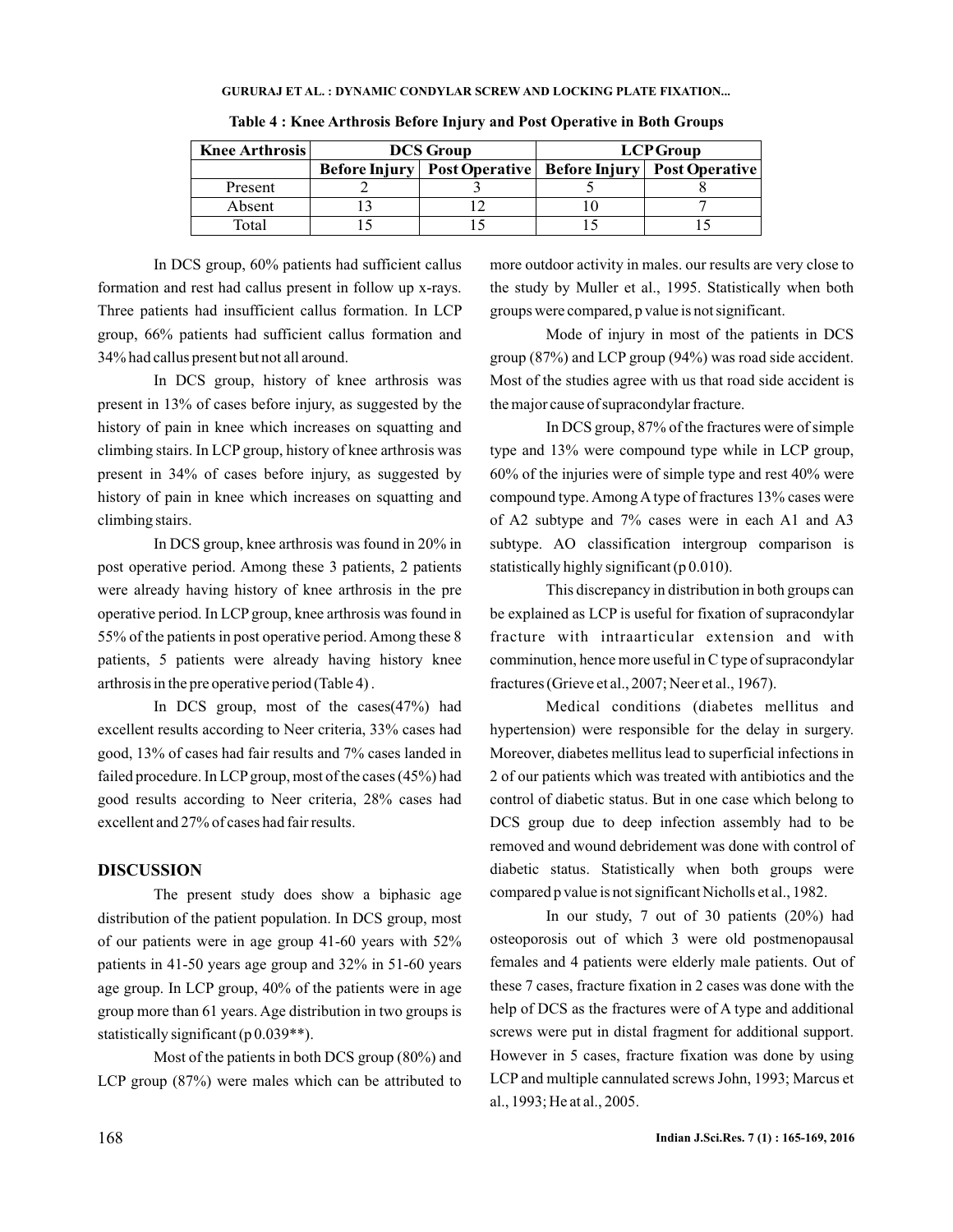| <b>Knee Arthrosis</b> | <b>DCS Group</b> |                                                                 | <b>LCPGroup</b> |  |
|-----------------------|------------------|-----------------------------------------------------------------|-----------------|--|
|                       |                  | Before Injury   Post Operative   Before Injury   Post Operative |                 |  |
| Present               |                  |                                                                 |                 |  |
| Absent                |                  |                                                                 |                 |  |
| Total                 |                  |                                                                 |                 |  |

**Table 4 : Knee Arthrosis Before Injury and Post Operative in Both Groups**

In DCS group, 60% patients had sufficient callus formation and rest had callus present in follow up x-rays. Three patients had insufficient callus formation. In LCP group, 66% patients had sufficient callus formation and 34% had callus present but not all around.

In DCS group, history of knee arthrosis was present in 13% of cases before injury, as suggested by the history of pain in knee which increases on squatting and climbing stairs. In LCP group, history of knee arthrosis was present in 34% of cases before injury, as suggested by history of pain in knee which increases on squatting and climbing stairs.

In DCS group, knee arthrosis was found in 20% in post operative period. Among these 3 patients, 2 patients were already having history of knee arthrosis in the pre operative period. In LCP group, knee arthrosis was found in 55% of the patients in post operative period. Among these 8 patients, 5 patients were already having history knee arthrosis in the pre operative period (Table 4) .

In DCS group, most of the cases(47%) had excellent results according to Neer criteria, 33% cases had good, 13% of cases had fair results and 7% cases landed in failed procedure. In LCP group, most of the cases (45%) had good results according to Neer criteria, 28% cases had excellent and 27% of cases had fair results.

# **DISCUSSION**

The present study does show a biphasic age distribution of the patient population. In DCS group, most of our patients were in age group 41-60 years with 52% patients in 41-50 years age group and 32% in 51-60 years age group. In LCP group, 40% of the patients were in age group more than 61 years. Age distribution in two groups is statistically significant (p 0.039\*\*).

Most of the patients in both DCS group (80%) and LCP group (87%) were males which can be attributed to

more outdoor activity in males. our results are very close to the study by Muller et al., 1995. Statistically when both groups were compared, p value is not significant.

Mode of injury in most of the patients in DCS group (87%) and LCP group (94%) was road side accident. Most of the studies agree with us that road side accident is the major cause of supracondylar fracture.

In DCS group, 87% of the fractures were of simple type and 13% were compound type while in LCP group, 60% of the injuries were of simple type and rest 40% were compound type. Among A type of fractures 13% cases were of A2 subtype and 7% cases were in each A1 and A3 subtype. AO classification intergroup comparison is statistically highly significant (p 0.010).

This discrepancy in distribution in both groups can be explained as LCP is useful for fixation of supracondylar fracture with intraarticular extension and with comminution, hence more useful in C type of supracondylar fractures (Grieve et al., 2007; Neer et al., 1967).

Medical conditions (diabetes mellitus and hypertension) were responsible for the delay in surgery. Moreover, diabetes mellitus lead to superficial infections in 2 of our patients which was treated with antibiotics and the control of diabetic status. But in one case which belong to DCS group due to deep infection assembly had to be removed and wound debridement was done with control of diabetic status. Statistically when both groups were compared p value is not significant Nicholls et al., 1982.

In our study, 7 out of 30 patients (20%) had osteoporosis out of which 3 were old postmenopausal females and 4 patients were elderly male patients. Out of these 7 cases, fracture fixation in 2 cases was done with the help of DCS as the fractures were of A type and additional screws were put in distal fragment for additional support. However in 5 cases, fracture fixation was done by using LCP and multiple cannulated screws John, 1993; Marcus et al., 1993; He at al., 2005.